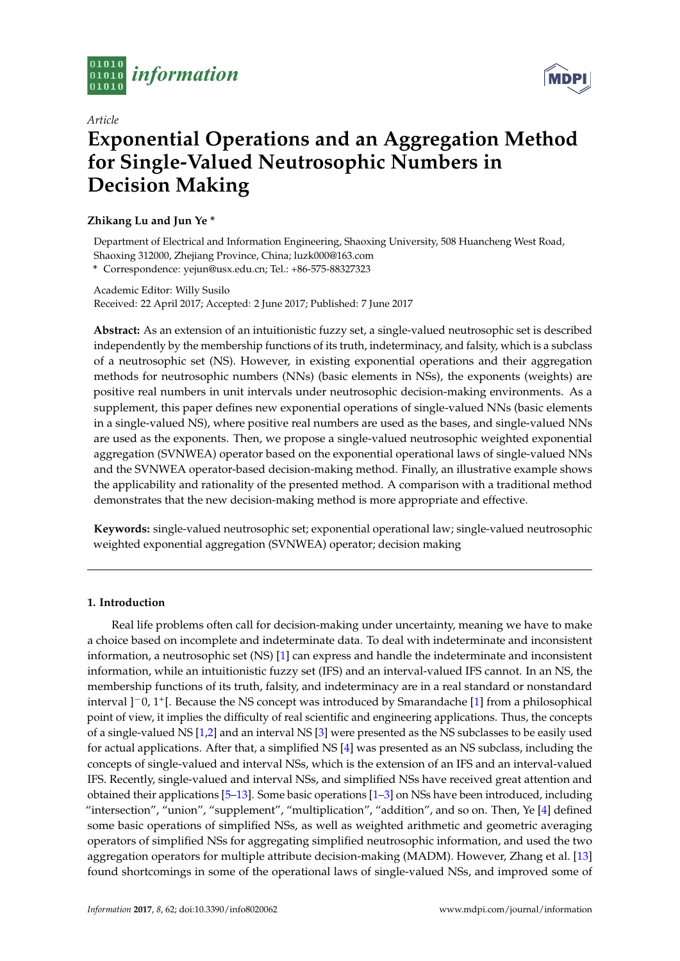



# *Article* **Exponential Operations and an Aggregation Method for Single-Valued Neutrosophic Numbers in Decision Making**

# **Zhikang Lu and Jun Ye \***

Department of Electrical and Information Engineering, Shaoxing University, 508 Huancheng West Road, Shaoxing 312000, Zhejiang Province, China; luzk000@163.com

**\*** Correspondence: yejun@usx.edu.cn; Tel.: +86-575-88327323

Academic Editor: Willy Susilo Received: 22 April 2017; Accepted: 2 June 2017; Published: 7 June 2017

**Abstract:** As an extension of an intuitionistic fuzzy set, a single-valued neutrosophic set is described independently by the membership functions of its truth, indeterminacy, and falsity, which is a subclass of a neutrosophic set (NS). However, in existing exponential operations and their aggregation methods for neutrosophic numbers (NNs) (basic elements in NSs), the exponents (weights) are positive real numbers in unit intervals under neutrosophic decision-making environments. As a supplement, this paper defines new exponential operations of single-valued NNs (basic elements in a single-valued NS), where positive real numbers are used as the bases, and single-valued NNs are used as the exponents. Then, we propose a single-valued neutrosophic weighted exponential aggregation (SVNWEA) operator based on the exponential operational laws of single-valued NNs and the SVNWEA operator-based decision-making method. Finally, an illustrative example shows the applicability and rationality of the presented method. A comparison with a traditional method demonstrates that the new decision-making method is more appropriate and effective.

**Keywords:** single-valued neutrosophic set; exponential operational law; single-valued neutrosophic weighted exponential aggregation (SVNWEA) operator; decision making

## **1. Introduction**

Real life problems often call for decision-making under uncertainty, meaning we have to make a choice based on incomplete and indeterminate data. To deal with indeterminate and inconsistent information, a neutrosophic set (NS) [\[1\]](#page-9-0) can express and handle the indeterminate and inconsistent information, while an intuitionistic fuzzy set (IFS) and an interval-valued IFS cannot. In an NS, the membership functions of its truth, falsity, and indeterminacy are in a real standard or nonstandard interval ]−0, 1<sup>+</sup> [. Because the NS concept was introduced by Smarandache [\[1\]](#page-9-0) from a philosophical point of view, it implies the difficulty of real scientific and engineering applications. Thus, the concepts of a single-valued NS [\[1](#page-9-0)[,2\]](#page-9-1) and an interval NS [\[3\]](#page-10-0) were presented as the NS subclasses to be easily used for actual applications. After that, a simplified NS [\[4\]](#page-10-1) was presented as an NS subclass, including the concepts of single-valued and interval NSs, which is the extension of an IFS and an interval-valued IFS. Recently, single-valued and interval NSs, and simplified NSs have received great attention and obtained their applications [\[5](#page-10-2)[–13\]](#page-10-3). Some basic operations [\[1–](#page-9-0)[3\]](#page-10-0) on NSs have been introduced, including "intersection", "union", "supplement", "multiplication", "addition", and so on. Then, Ye [\[4\]](#page-10-1) defined some basic operations of simplified NSs, as well as weighted arithmetic and geometric averaging operators of simplified NSs for aggregating simplified neutrosophic information, and used the two aggregation operators for multiple attribute decision-making (MADM). However, Zhang et al. [\[13\]](#page-10-3) found shortcomings in some of the operational laws of single-valued NSs, and improved some of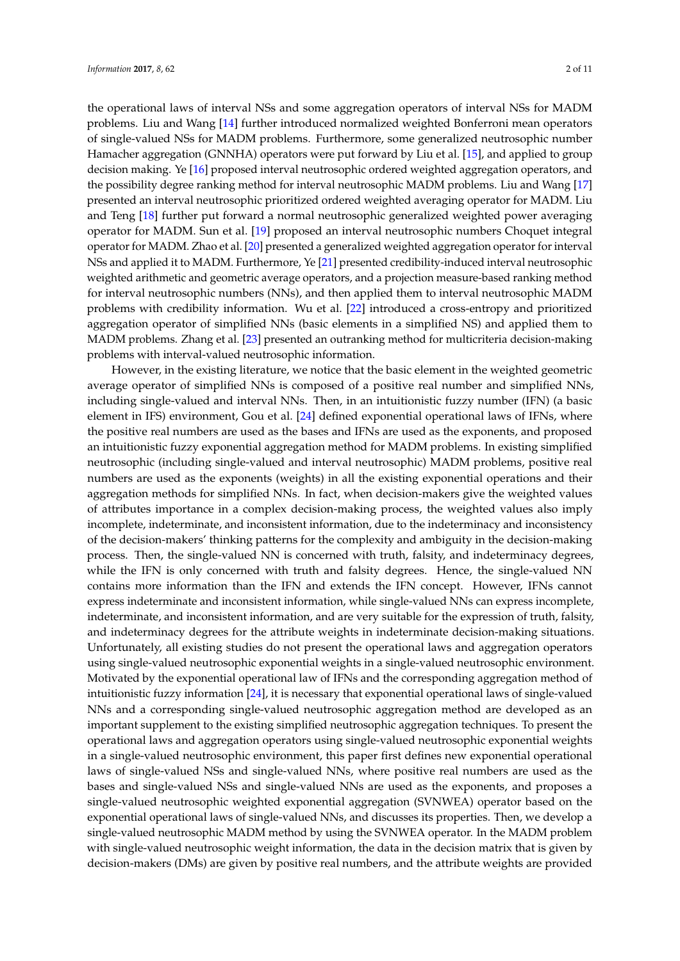the operational laws of interval NSs and some aggregation operators of interval NSs for MADM problems. Liu and Wang [\[14\]](#page-10-4) further introduced normalized weighted Bonferroni mean operators of single-valued NSs for MADM problems. Furthermore, some generalized neutrosophic number Hamacher aggregation (GNNHA) operators were put forward by Liu et al. [\[15\]](#page-10-5), and applied to group decision making. Ye [\[16\]](#page-10-6) proposed interval neutrosophic ordered weighted aggregation operators, and the possibility degree ranking method for interval neutrosophic MADM problems. Liu and Wang [\[17\]](#page-10-7) presented an interval neutrosophic prioritized ordered weighted averaging operator for MADM. Liu and Teng [\[18\]](#page-10-8) further put forward a normal neutrosophic generalized weighted power averaging operator for MADM. Sun et al. [\[19\]](#page-10-9) proposed an interval neutrosophic numbers Choquet integral operator for MADM. Zhao et al. [\[20\]](#page-10-10) presented a generalized weighted aggregation operator for interval NSs and applied it to MADM. Furthermore, Ye [\[21\]](#page-10-11) presented credibility-induced interval neutrosophic weighted arithmetic and geometric average operators, and a projection measure-based ranking method for interval neutrosophic numbers (NNs), and then applied them to interval neutrosophic MADM problems with credibility information. Wu et al. [\[22\]](#page-10-12) introduced a cross-entropy and prioritized aggregation operator of simplified NNs (basic elements in a simplified NS) and applied them to MADM problems. Zhang et al. [\[23\]](#page-10-13) presented an outranking method for multicriteria decision-making problems with interval-valued neutrosophic information.

However, in the existing literature, we notice that the basic element in the weighted geometric average operator of simplified NNs is composed of a positive real number and simplified NNs, including single-valued and interval NNs. Then, in an intuitionistic fuzzy number (IFN) (a basic element in IFS) environment, Gou et al. [\[24\]](#page-10-14) defined exponential operational laws of IFNs, where the positive real numbers are used as the bases and IFNs are used as the exponents, and proposed an intuitionistic fuzzy exponential aggregation method for MADM problems. In existing simplified neutrosophic (including single-valued and interval neutrosophic) MADM problems, positive real numbers are used as the exponents (weights) in all the existing exponential operations and their aggregation methods for simplified NNs. In fact, when decision-makers give the weighted values of attributes importance in a complex decision-making process, the weighted values also imply incomplete, indeterminate, and inconsistent information, due to the indeterminacy and inconsistency of the decision-makers' thinking patterns for the complexity and ambiguity in the decision-making process. Then, the single-valued NN is concerned with truth, falsity, and indeterminacy degrees, while the IFN is only concerned with truth and falsity degrees. Hence, the single-valued NN contains more information than the IFN and extends the IFN concept. However, IFNs cannot express indeterminate and inconsistent information, while single-valued NNs can express incomplete, indeterminate, and inconsistent information, and are very suitable for the expression of truth, falsity, and indeterminacy degrees for the attribute weights in indeterminate decision-making situations. Unfortunately, all existing studies do not present the operational laws and aggregation operators using single-valued neutrosophic exponential weights in a single-valued neutrosophic environment. Motivated by the exponential operational law of IFNs and the corresponding aggregation method of intuitionistic fuzzy information [\[24\]](#page-10-14), it is necessary that exponential operational laws of single-valued NNs and a corresponding single-valued neutrosophic aggregation method are developed as an important supplement to the existing simplified neutrosophic aggregation techniques. To present the operational laws and aggregation operators using single-valued neutrosophic exponential weights in a single-valued neutrosophic environment, this paper first defines new exponential operational laws of single-valued NSs and single-valued NNs, where positive real numbers are used as the bases and single-valued NSs and single-valued NNs are used as the exponents, and proposes a single-valued neutrosophic weighted exponential aggregation (SVNWEA) operator based on the exponential operational laws of single-valued NNs, and discusses its properties. Then, we develop a single-valued neutrosophic MADM method by using the SVNWEA operator. In the MADM problem with single-valued neutrosophic weight information, the data in the decision matrix that is given by decision-makers (DMs) are given by positive real numbers, and the attribute weights are provided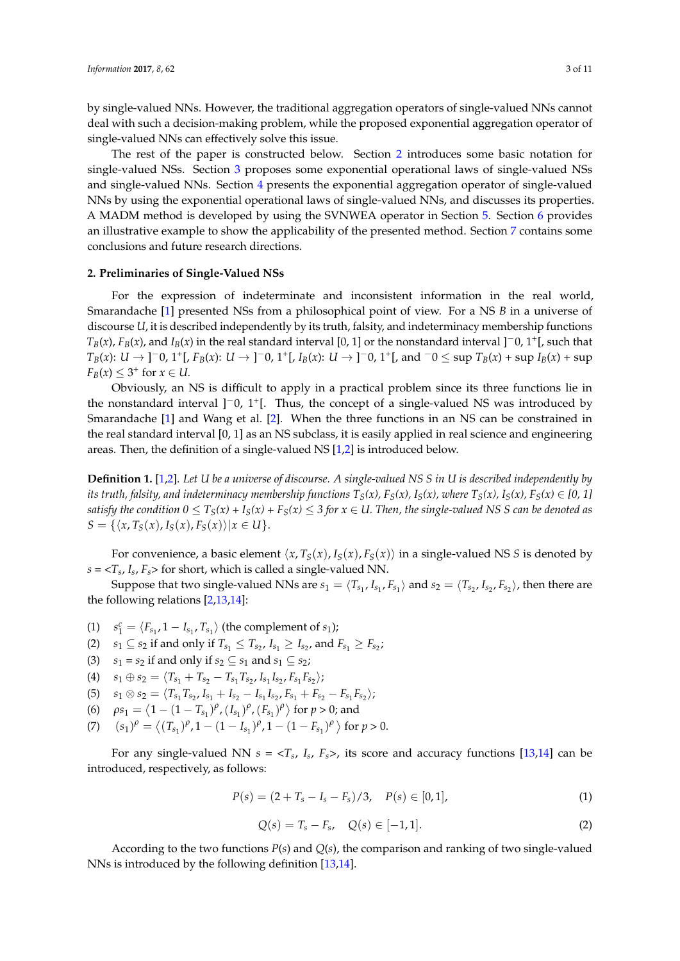by single-valued NNs. However, the traditional aggregation operators of single-valued NNs cannot deal with such a decision-making problem, while the proposed exponential aggregation operator of single-valued NNs can effectively solve this issue.

The rest of the paper is constructed below. Section [2](#page-2-0) introduces some basic notation for single-valued NSs. Section [3](#page-3-0) proposes some exponential operational laws of single-valued NSs and single-valued NNs. Section [4](#page-5-0) presents the exponential aggregation operator of single-valued NNs by using the exponential operational laws of single-valued NNs, and discusses its properties. A MADM method is developed by using the SVNWEA operator in Section [5.](#page-7-0) Section [6](#page-7-1) provides an illustrative example to show the applicability of the presented method. Section [7](#page-9-2) contains some conclusions and future research directions.

#### <span id="page-2-0"></span>**2. Preliminaries of Single-Valued NSs**

For the expression of indeterminate and inconsistent information in the real world, Smarandache [\[1\]](#page-9-0) presented NSs from a philosophical point of view. For a NS *B* in a universe of discourse *U*, it is described independently by its truth, falsity, and indeterminacy membership functions  $T_B(x)$ ,  $F_B(x)$ , and  $I_B(x)$  in the real standard interval [0, 1] or the nonstandard interval ]<sup>−</sup>0, 1<sup>+</sup>[, such that  $T_B(x)$ :  $U \to$  ]<sup>-</sup>0, 1<sup>+</sup>[,  $F_B(x)$ :  $U \to$  ]<sup>-</sup>0, 1<sup>+</sup>[,  $I_B(x)$ :  $U \to$  ]<sup>-</sup>0, 1<sup>+</sup>[, and <sup>-</sup>0  $\leq$  sup  $T_B(x)$  + sup  $I_B(x)$  + sup  $F_B(x) \leq 3^+$  for  $x \in U$ .

Obviously, an NS is difficult to apply in a practical problem since its three functions lie in the nonstandard interval ]<sup>-</sup>0, 1<sup>+</sup>[. Thus, the concept of a single-valued NS was introduced by Smarandache [\[1\]](#page-9-0) and Wang et al. [\[2\]](#page-9-1). When the three functions in an NS can be constrained in the real standard interval [0, 1] as an NS subclass, it is easily applied in real science and engineering areas. Then, the definition of a single-valued NS [\[1](#page-9-0)[,2\]](#page-9-1) is introduced below.

**Definition 1.** [\[1](#page-9-0)[,2\]](#page-9-1). *Let U be a universe of discourse. A single-valued NS S in U is described independently by its truth, falsity, and indeterminacy membership functions*  $T_S(x)$ ,  $F_S(x)$ ,  $I_S(x)$ , where  $T_S(x)$ ,  $I_S(x)$ ,  $F_S(x) \in [0, 1]$ *satisfy the condition*  $0 \leq T_S(x) + I_S(x) + F_S(x) \leq 3$  *for*  $x \in U$ . Then, the single-valued NS S can be denoted as  $S = \{ \langle x, T_S(x), I_S(x), F_S(x) \rangle | x \in U \}.$ 

For convenience, a basic element  $\langle x, T_S(x), I_S(x), F_S(x) \rangle$  in a single-valued NS *S* is denoted by  $s = <\!\!T_s$ ,  $I_s$ ,  $F_s\!\!>$  for short, which is called a single-valued NN.

Suppose that two single-valued NNs are  $s_1 = \langle T_{s_1}, I_{s_1}, F_{s_1} \rangle$  and  $s_2 = \langle T_{s_2}, I_{s_2}, F_{s_2} \rangle$ , then there are the following relations [\[2](#page-9-1)[,13,](#page-10-3)[14\]](#page-10-4):

- (1)  $s_1^c = \langle F_{s_1}, 1 I_{s_1}, T_{s_1} \rangle$  (the complement of  $s_1$ );
- $s_1 \subseteq s_2$  if and only if  $T_{s_1} \le T_{s_2}$ ,  $I_{s_1} \ge I_{s_2}$ , and  $F_{s_1} \ge F_{s_2}$ ;
- (3)  $s_1 = s_2$  if and only if  $s_2 \subseteq s_1$  and  $s_1 \subseteq s_2$ ;
- $(s_1 \oplus s_2 = \langle T_{s_1} + T_{s_2} T_{s_1}T_{s_2}, I_{s_1}I_{s_2}, F_{s_1}F_{s_2} \rangle;$
- $(5)$   $s_1 \otimes s_2 = \langle T_{s_1} T_{s_2}, I_{s_1} + I_{s_2} I_{s_1} I_{s_2}, F_{s_1} + F_{s_2} F_{s_1} F_{s_2} \rangle;$
- (6)  $\rho s_1 = \langle 1 (1 T_{s_1})^{\rho}, (I_{s_1})^{\rho}, (F_{s_1})^{\rho} \rangle$  for  $p > 0$ ; and
- (7)  $(s_1)^{\rho} = \langle (T_{s_1})^{\rho}, 1 (1 I_{s_1})^{\rho}, 1 (1 F_{s_1})^{\rho} \rangle$  for  $p > 0$ .

For any single-valued NN  $s = \langle T_s, I_s, F_s \rangle$ , its score and accuracy functions [\[13,](#page-10-3)[14\]](#page-10-4) can be introduced, respectively, as follows:

$$
P(s) = (2 + T_s - I_s - F_s)/3, \quad P(s) \in [0, 1], \tag{1}
$$

$$
Q(s) = T_s - F_s, \quad Q(s) \in [-1, 1].
$$
 (2)

According to the two functions *P*(*s*) and *Q*(*s*), the comparison and ranking of two single-valued NNs is introduced by the following definition [\[13,](#page-10-3)[14\]](#page-10-4).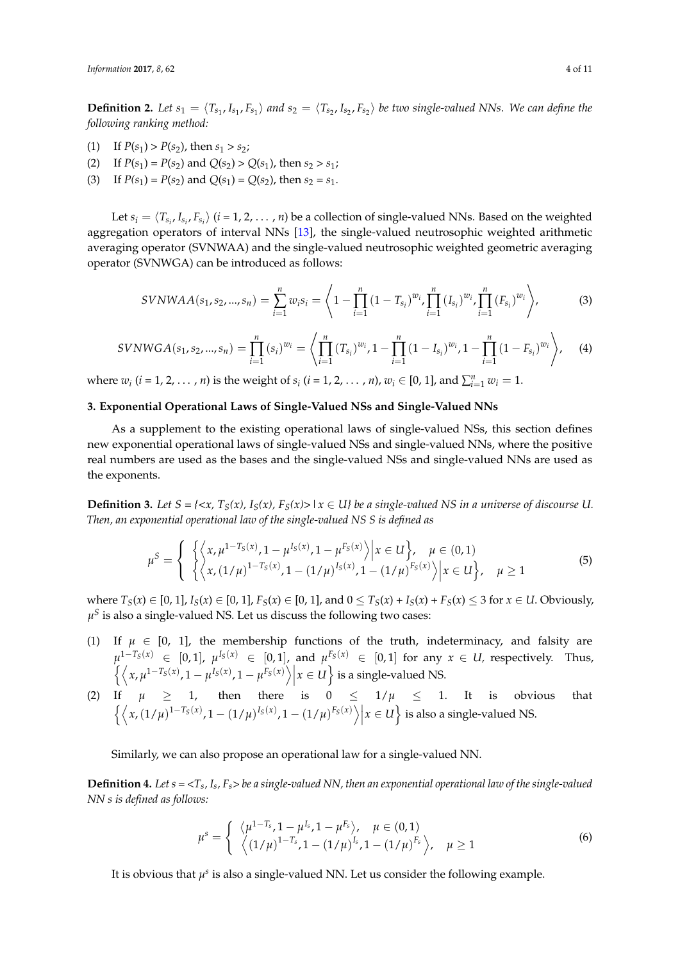**Definition 2.** Let  $s_1 = \langle T_{s_1}, I_{s_1}, F_{s_1} \rangle$  and  $s_2 = \langle T_{s_2}, I_{s_2}, F_{s_2} \rangle$  be two single-valued NNs. We can define the *following ranking method:*

- (1) If  $P(s_1) > P(s_2)$ , then  $s_1 > s_2$ ;
- (2) If  $P(s_1) = P(s_2)$  and  $Q(s_2) > Q(s_1)$ , then  $s_2 > s_1$ ;
- (3) If  $P(s_1) = P(s_2)$  and  $Q(s_1) = Q(s_2)$ , then  $s_2 = s_1$ .

Let  $s_i = \langle T_{s_i}, I_{s_i}, F_{s_i} \rangle$  (*i* = 1, 2, . . . , *n*) be a collection of single-valued NNs. Based on the weighted aggregation operators of interval NNs [\[13\]](#page-10-3), the single-valued neutrosophic weighted arithmetic averaging operator (SVNWAA) and the single-valued neutrosophic weighted geometric averaging operator (SVNWGA) can be introduced as follows:

$$
SVMWAA(s_1, s_2, ..., s_n) = \sum_{i=1}^{n} w_i s_i = \left\langle 1 - \prod_{i=1}^{n} (1 - T_{s_i})^{w_i}, \prod_{i=1}^{n} (I_{s_i})^{w_i}, \prod_{i=1}^{n} (F_{s_i})^{w_i} \right\rangle,
$$
(3)

$$
SVNWGA(s_1, s_2, ..., s_n) = \prod_{i=1}^n (s_i)^{w_i} = \left\langle \prod_{i=1}^n (T_{s_i})^{w_i}, 1 - \prod_{i=1}^n (1 - I_{s_i})^{w_i}, 1 - \prod_{i=1}^n (1 - F_{s_i})^{w_i} \right\rangle, \quad (4)
$$

where  $w_i$  (*i* = 1, 2, ..., *n*) is the weight of  $s_i$  (*i* = 1, 2, ..., *n*),  $w_i \in [0, 1]$ , and  $\sum_{i=1}^{n} w_i = 1$ .

# <span id="page-3-0"></span>**3. Exponential Operational Laws of Single-Valued NSs and Single-Valued NNs**

As a supplement to the existing operational laws of single-valued NSs, this section defines new exponential operational laws of single-valued NSs and single-valued NNs, where the positive real numbers are used as the bases and the single-valued NSs and single-valued NNs are used as the exponents.

**Definition 3.** Let  $S = \{ \langle x, T_S(x), I_S(x), F_S(x) \rangle \mid x \in U \}$  be a single-valued NS in a universe of discourse U. *Then, an exponential operational law of the single-valued NS S is defined as*

$$
\mu^{S} = \begin{cases} \left\{ \left\langle x, \mu^{1-T_{S}(x)}, 1 - \mu^{I_{S}(x)}, 1 - \mu^{F_{S}(x)} \right\rangle \middle| x \in U \right\}, & \mu \in (0,1) \\ \left\langle x, (1/\mu)^{1-T_{S}(x)}, 1 - (1/\mu)^{I_{S}(x)}, 1 - (1/\mu)^{F_{S}(x)} \right\rangle \middle| x \in U \right\}, & \mu \ge 1 \end{cases}
$$
(5)

where  $T_S(x) \in [0, 1]$ ,  $I_S(x) \in [0, 1]$ ,  $F_S(x) \in [0, 1]$ , and  $0 \le T_S(x) + I_S(x) + F_S(x) \le 3$  for  $x \in U$ . Obviously,  $\mu^S$  is also a single-valued NS. Let us discuss the following two cases:

- (1) If  $\mu \in [0, 1]$ , the membership functions of the truth, indeterminacy, and falsity are  $\mu^{1-T_S(x)}$  ∈ [0,1],  $\mu^{I_S(x)}$  ∈ [0,1], and  $\mu^{F_S(x)}$  ∈ [0,1] for any  $x \in U$ , respectively. Thus,  $\left\{ \left\langle x, \mu^{1-T_S(x)}, 1 - \mu^{I_S(x)}, 1 - \mu^{I_S(x)} \right\rangle \middle| x \in U \right\}$  is a single-valued NS.  $\overline{\phantom{a}}$
- (2) If  $\mu \geq 1$ , then there is  $0 \leq 1/\mu \leq 1$ . It is obvious that  $\left\{ \left\langle x, (1/\mu)^{1-T_S(x)}, 1 - (1/\mu)^{I_S(x)}, 1 - (1/\mu)^{F_S(x)} \right\rangle \middle| x \in U \right\}$  is also a single-valued NS.

Similarly, we can also propose an operational law for a single-valued NN.

**Definition 4.** Let  $s = *T*<sub>s</sub>, *I*<sub>s</sub>, *F*<sub>s</sub> > be a single-valued NN, then an exponential operational law of the single-valued$ *NN s is defined as follows:*

$$
\mu^{s} = \begin{cases} \langle \mu^{1-T_{s}}, 1-\mu^{I_{s}}, 1-\mu^{F_{s}} \rangle, & \mu \in (0,1) \\ \langle (1/\mu)^{1-T_{s}}, 1-(1/\mu)^{I_{s}}, 1-(1/\mu)^{F_{s}} \rangle, & \mu \ge 1 \end{cases}
$$
(6)

It is obvious that  $\mu^s$  is also a single-valued NN. Let us consider the following example.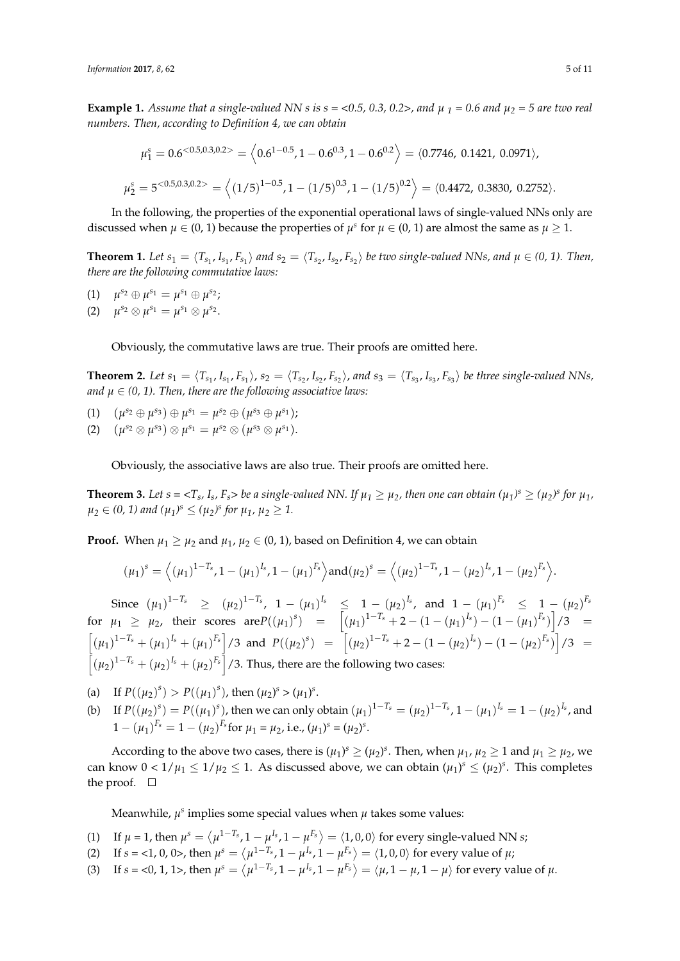**Example 1.** Assume that a single-valued NN s is  $s = <0.5$ , 0.3, 0.2>, and  $\mu_1 = 0.6$  and  $\mu_2 = 5$  are two real *numbers. Then, according to Definition 4, we can obtain*

$$
\mu_1^s = 0.6^{<0.5,0.3,0.2>} = \left\langle 0.6^{1-0.5}, 1-0.6^{0.3}, 1-0.6^{0.2} \right\rangle = \left\langle 0.7746, 0.1421, 0.0971 \right\rangle,
$$
  

$$
\mu_2^s = 5^{<0.5,0.3,0.2>} = \left\langle (1/5)^{1-0.5}, 1 - (1/5)^{0.3}, 1 - (1/5)^{0.2} \right\rangle = \left\langle 0.4472, 0.3830, 0.2752 \right\rangle.
$$

In the following, the properties of the exponential operational laws of single-valued NNs only are discussed when  $\mu \in (0, 1)$  because the properties of  $\mu^s$  for  $\mu \in (0, 1)$  are almost the same as  $\mu \geq 1$ .

**Theorem 1.** Let  $s_1 = \langle T_{s_1}, I_{s_1}, F_{s_1} \rangle$  and  $s_2 = \langle T_{s_2}, I_{s_2}, F_{s_2} \rangle$  be two single-valued NNs, and  $\mu \in (0, 1)$ . Then, *there are the following commutative laws:*

- (1)  $\mu^{s_2} \oplus \mu^{s_1} = \mu^{s_1} \oplus \mu^{s_2};$
- (2)  $\mu^{s_2} \otimes \mu^{s_1} = \mu^{s_1} \otimes \mu^{s_2}$ .

Obviously, the commutative laws are true. Their proofs are omitted here.

**Theorem 2.** Let  $s_1 = \langle T_{s_1}, I_{s_1}, F_{s_1} \rangle$ ,  $s_2 = \langle T_{s_2}, I_{s_2}, F_{s_2} \rangle$ , and  $s_3 = \langle T_{s_3}, I_{s_3}, F_{s_3} \rangle$  be three single-valued NNs, *and*  $\mu \in (0, 1)$ . Then, there are the following associative laws:

- $(\mu^{s_2} \oplus \mu^{s_3}) \oplus \mu^{s_1} = \mu^{s_2} \oplus (\mu^{s_3} \oplus \mu^{s_1});$
- (2)  $(\mu^{s_2} \otimes \mu^{s_3}) \otimes \mu^{s_1} = \mu^{s_2} \otimes (\mu^{s_3} \otimes \mu^{s_1}).$

Obviously, the associative laws are also true. Their proofs are omitted here.

**Theorem 3.** Let  $s = \langle T_s, I_s, F_s \rangle$  be a single-valued NN. If  $\mu_1 \ge \mu_2$ , then one can obtain  $(\mu_1)^s \ge (\mu_2)^s$  for  $\mu_1$ ,  $\mu_2 \in (0, 1)$  and  $(\mu_1)^s \le (\mu_2)^s$  for  $\mu_1$ ,  $\mu_2 \ge 1$ .

**Proof.** When  $\mu_1 \geq \mu_2$  and  $\mu_1, \mu_2 \in (0, 1)$ , based on Definition 4, we can obtain

$$
(\mu_1)^s = \left\langle (\mu_1)^{1-T_s}, 1-(\mu_1)^{I_s}, 1-(\mu_1)^{F_s} \right\rangle \text{and} (\mu_2)^s = \left\langle (\mu_2)^{1-T_s}, 1-(\mu_2)^{I_s}, 1-(\mu_2)^{F_s} \right\rangle.
$$

 $\int \text{Since } (\mu_1)^{1-T_s} \geq (\mu_2)^{1-T_s}, \quad 1-(\mu_1)^{I_s} \leq 1-(\mu_2)^{I_s}, \quad \text{and} \quad 1-(\mu_1)^{F_s} \leq 1-(\mu_2)^{F_s}$ for  $\mu_1 \ge \mu_2$ , their scores  $\text{are}P((\mu_1)^s) = [(\mu_1)^{1-T_s} + 2 - (1 - (\mu_1)^{I_s}) - (1 - (\mu_1)^{F_s})]/3 =$  $\left[ (\mu_1)^{1-T_s} + (\mu_1)^{I_s} + (\mu_1)^{F_s} \right]$  /3 and  $P((\mu_2)^s) = \left[ (\mu_2)^{1-T_s} + 2 - (1 - (\mu_2)^{I_s}) - (1 - (\mu_2)^{F_s}) \right]$  /3 =  $\left[ (\mu_2)^{1-T_s} + (\mu_2)^{I_s} + (\mu_2)^{F_s} \right]$  /3. Thus, there are the following two cases:

(a) If  $P((\mu_2)^s) > P((\mu_1)^s)$ , then  $(\mu_2)^s > (\mu_1)^s$ .

(b) If  $P((\mu_2)^s) = P((\mu_1)^s)$ , then we can only obtain  $(\mu_1)^{1-T_s} = (\mu_2)^{1-T_s}$ ,  $1-(\mu_1)^{I_s} = 1-(\mu_2)^{I_s}$ , and  $1 - (\mu_1)^{F_s} = 1 - (\mu_2)^{F_s}$  for  $\mu_1 = \mu_2$ , i.e.,  $(\mu_1)^s = (\mu_2)^s$ .

According to the above two cases, there is  $(\mu_1)^s \ge (\mu_2)^s$ . Then, when  $\mu_1$ ,  $\mu_2 \ge 1$  and  $\mu_1 \ge \mu_2$ , we can know  $0 < 1/\mu_1 \leq 1/\mu_2 \leq 1$ . As discussed above, we can obtain  $(\mu_1)^s \leq (\mu_2)^s$ . This completes the proof.  $\square$ 

Meanwhile,  $\mu^s$  implies some special values when  $\mu$  takes some values:

- (1) If  $\mu = 1$ , then  $\mu^s = \langle \mu^{1-T_s}, 1 \mu^{I_s}, 1 \mu^{F_s} \rangle = \langle 1, 0, 0 \rangle$  for every single-valued NN *s*;
- (2) If  $s = <1, 0, 0>$ , then  $\mu^s = \langle \mu^{1-T_s}, 1 \mu^{I_s}, 1 \mu^{F_s} \rangle = \langle 1, 0, 0 \rangle$  for every value of  $\mu$ ;
- (3) If  $s = 0, 1, 1$ >, then  $\mu^s = \langle \mu^{1-T_s}, 1 \mu^{I_s}, 1 \mu^{F_s} \rangle = \langle \mu, 1 \mu, 1 \mu \rangle$  for every value of  $\mu$ .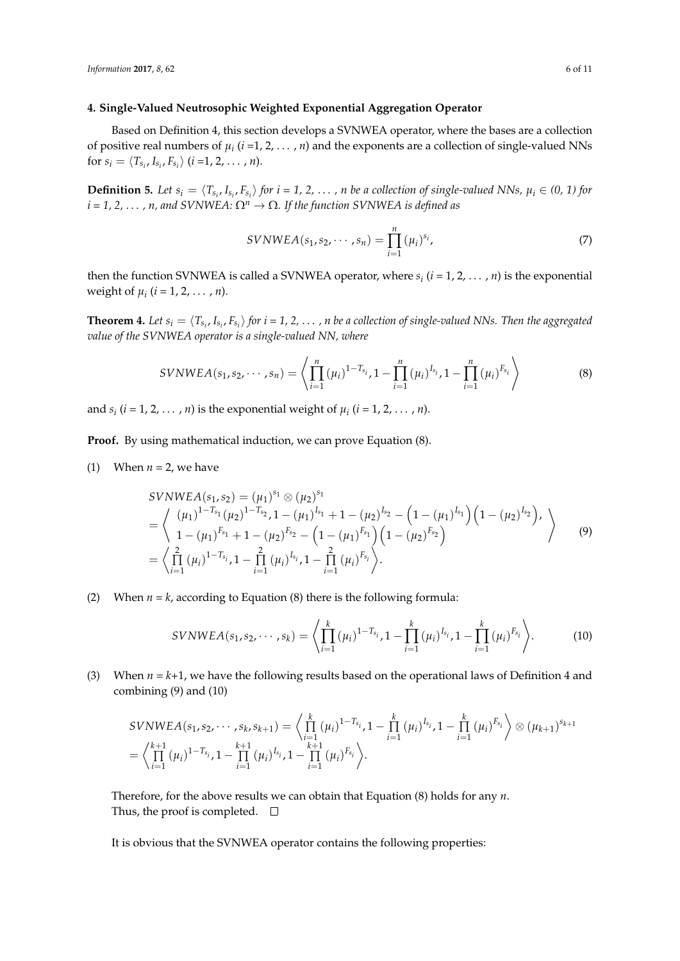### <span id="page-5-0"></span>**4. Single-Valued Neutrosophic Weighted Exponential Aggregation Operator**

Based on Definition 4, this section develops a SVNWEA operator, where the bases are a collection of positive real numbers of  $\mu_i$  ( $i$  =1, 2, ...,  $n$ ) and the exponents are a collection of single-valued NNs for  $s_i = \langle T_{s_i}, I_{s_i}, F_{s_i} \rangle$  (*i*=1, 2, ..., *n*).

**Definition 5.** Let  $s_i = \langle T_{s_i}, I_{s_i}, F_{s_i} \rangle$  for  $i = 1, 2, ..., n$  be a collection of single-valued NNs,  $\mu_i \in (0, 1)$  for  $i = 1, 2, \ldots, n$ , and SVNWEA:  $\Omega^n \to \Omega$ . If the function SVNWEA is defined as

$$
SVMWEA(s_1, s_2, \cdots, s_n) = \prod_{i=1}^{n} (\mu_i)^{s_i},
$$
\n(7)

then the function SVNWEA is called a SVNWEA operator, where  $s_i$  ( $i = 1, 2, ..., n$ ) is the exponential weight of  $\mu_i$  (*i* = 1, 2, ..., *n*).

**Theorem 4.** Let  $s_i = \langle T_{s_i}, I_{s_i}, F_{s_i} \rangle$  for  $i = 1, 2, ..., n$  be a collection of single-valued NNs. Then the aggregated *value of the SVNWEA operator is a single-valued NN, where*

$$
SVMWEA(s_1, s_2, \cdots, s_n) = \left\langle \prod_{i=1}^n (\mu_i)^{1-T_{s_i}}, 1 - \prod_{i=1}^n (\mu_i)^{I_{s_i}}, 1 - \prod_{i=1}^n (\mu_i)^{F_{s_i}} \right\rangle
$$
(8)

and  $s_i$  ( $i = 1, 2, ..., n$ ) is the exponential weight of  $\mu_i$  ( $i = 1, 2, ..., n$ ).

**Proof.** By using mathematical induction, we can prove Equation (8).

(1) When  $n = 2$ , we have

$$
SVMWEA(s_1, s_2) = (\mu_1)^{s_1} \otimes (\mu_2)^{s_1}
$$
  
=  $\left\langle \begin{array}{l} (\mu_1)^{1-T_{s_1}}(\mu_2)^{1-T_{s_2}}, 1-(\mu_1)^{I_{s_1}}+1-(\mu_2)^{I_{s_2}}- \left(1-(\mu_1)^{I_{s_1}}\right) \left(1-(\mu_2)^{I_{s_2}}\right), \\ 1-(\mu_1)^{F_{s_1}}+1-(\mu_2)^{F_{s_2}}- \left(1-(\mu_1)^{F_{s_1}}\right) \left(1-(\mu_2)^{F_{s_2}}\right) \end{array} \right\rangle$   
=  $\left\langle \prod_{i=1}^2 (\mu_i)^{1-T_{s_i}}, 1-\prod_{i=1}^2 (\mu_i)^{I_{s_i}}, 1-\prod_{i=1}^2 (\mu_i)^{F_{s_i}} \right\rangle.$  (9)

(2) When  $n = k$ , according to Equation (8) there is the following formula:

$$
SVMWEA(s_1, s_2, \cdots, s_k) = \left\langle \prod_{i=1}^k (\mu_i)^{1-T_{s_i}}, 1 - \prod_{i=1}^k (\mu_i)^{I_{s_i}}, 1 - \prod_{i=1}^k (\mu_i)^{F_{s_i}} \right\rangle.
$$
 (10)

(3) When  $n = k+1$ , we have the following results based on the operational laws of Definition 4 and combining (9) and (10)

$$
SVMWEA(s_1, s_2, \cdots, s_k, s_{k+1}) = \left\langle \prod_{i=1}^k (\mu_i)^{1-T_{s_i}}, 1 - \prod_{i=1}^k (\mu_i)^{I_{s_i}}, 1 - \prod_{i=1}^k (\mu_i)^{F_{s_i}} \right\rangle \otimes (\mu_{k+1})^{s_{k+1}}
$$
  
=  $\left\langle \prod_{i=1}^{k+1} (\mu_i)^{1-T_{s_i}}, 1 - \prod_{i=1}^{k+1} (\mu_i)^{I_{s_i}}, 1 - \prod_{i=1}^{k+1} (\mu_i)^{F_{s_i}} \right\rangle$ .

Therefore, for the above results we can obtain that Equation (8) holds for any *n*. Thus, the proof is completed.  $\square$ 

It is obvious that the SVNWEA operator contains the following properties: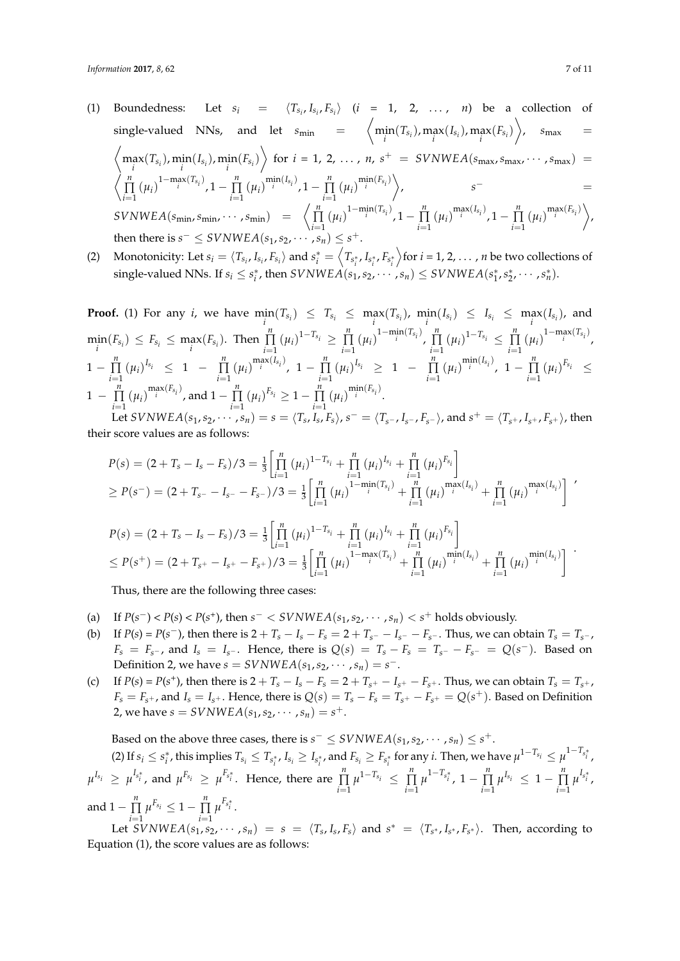- (1) Boundedness: Let  $s_i = \langle T_{s_i}, I_{s_i}, F_{s_i} \rangle$  (*i* = 1, 2, ..., *n*) be a collection of  $\left\langle \min_{i} (T_{s_i}), \max_{i} (F_{s_i}) \right\rangle$ ,  $s_{\max} = \min_{i} (T_{s_i})$ ,  $\max_{i} (F_{s_i})$ ,  $s_{\max} = \min_{i} (T_{s_i})$  $\left\langle \max_i(T_{s_i}), \min_i(I_{s_i}), \min_i(F_{s_i}) \right\rangle$  for  $i = 1, 2, ..., n$ ,  $s^+ = SVMWEA(s_{\max}, s_{\max}, \dots, s_{\max}) =$  $\langle \prod$ <sup>*n*</sup>  $\prod_{i=1}^{n} (\mu_i)^{1-\max_i(T_{s_i})}, 1-\prod_{i=1}^{n}$  $\prod_{i=1}^{n} (\mu_i)^{\min(i_{s_i})}, 1 - \prod_{i=1}^{n}$  $\prod_{i=1}^{n} (\mu_i)^{\min(F_{s_i})}$ , *s*<sup>−</sup> =  $SVMWEA(s_{\text{min}}, s_{\text{min}}, \cdots, s_{\text{min}}) = \left\langle \prod_{i=1}^{n} \right\rangle$  $\prod_{i=1}^{n} (\mu_i)^{1-\min_i(T_{s_i})}, 1-\prod_{i=1}^{n}$  $\prod_{i=1}^{n} (\mu_i)^{\max(i_{s_i})}, 1 - \prod_{i=1}^{n}$  $\prod_{i=1}^{n} (\mu_i)^{\max(F_{s_i})}$ then there is  $s^- \leq SVNWEA(s_1,s_2,\dots,s_n) \leq s^+$ .
- (2) Monotonicity: Let  $s_i = \langle T_{s_i}, I_{s_i}, F_{s_i} \rangle$  and  $s_i^* = \langle T_{s_i^*}, I_{s_i^*}, F_{s_i^*} \rangle$  $\overline{\arctan{n}}$  for *i* = 1, 2, ..., *n* be two collections of  $\text{single-valued NNs. If } s_i \leq s_i^*$ , then  $SVNWEA(s_1, s_2, \cdots, s_n) \leq SVNWEA(s_1^*, s_2^*, \cdots, s_n^*)$ .

**Proof.** (1) For any *i*, we have  $\min_i(T_{s_i}) \leq T_{s_i} \leq \max_i(T_{s_i})$ ,  $\min_i(I_{s_i}) \leq I_{s_i} \leq \max_i(I_{s_i})$ , and  $\min_i(F_{s_i}) \leq F_{s_i} \leq \max_i(F_{s_i})$ . Then  $\prod_{i=1}^n$  $\prod_{i=1}^{n} (\mu_i)^{1-T_{s_i}} \geq \prod_{i=1}^{n}$  $\prod_{i=1}^{n} (\mu_i)^{1-\min_i(T_{s_i})}, \prod_{i=1}^{n}$  $\prod_{i=1}^{n} (\mu_i)^{1-T_{s_i}} \leq \prod_{i=1}^{n}$  $\prod_{i=1}^{n} (\mu_i)^{1-\max_i(T_{s_i})}$  $1-\prod_{1}^{n}$  $\prod_{i=1}^{n} (\mu_i)^{I_{s_i}} \leq 1 - \prod_{i=1}^{n}$  $\prod_{i=1}^{n} (\mu_i)^{\max(I_{s_i})}, 1 - \prod_{i=1}^{n}$  $\prod_{i=1}^{n} (\mu_i)^{I_{s_i}} \geq 1 - \prod_{i=1}^{n}$  $\prod_{i=1}^{n} (\mu_i)^{\min(I_{s_i})}, 1 - \prod_{i=1}^{n}$  $\prod_{i=1}^{n} (\mu_i)^{F_{s_i}} \leq$  $1 - \prod_{i=1}^{n}$  $\prod_{i=1}^{n} (\mu_i)^{\max(F_{s_i})}$ , and  $1 - \prod_{i=1}^{n} (\mu_i)^{F_{s_i}} \ge 1 - \prod_{i=1}^{n} (\mu_i)^{\min(F_{s_i})}$ . *i*=1 *i*=1

Let SVNWEA( $s_1, s_2, \cdots, s_n$ ) =  $s = \langle T_s, I_s, F_s \rangle$ ,  $s^- = \langle T_{s^-}, I_{s^-}, F_{s^-} \rangle$ , and  $s^+ = \langle T_{s^+}, I_{s^+}, F_{s^+} \rangle$ , then their score values are as follows:

$$
P(s) = (2 + T_s - I_s - F_s)/3 = \frac{1}{3} \left[ \prod_{i=1}^{n} (\mu_i)^{1-T_{s_i}} + \prod_{i=1}^{n} (\mu_i)^{I_{s_i}} + \prod_{i=1}^{n} (\mu_i)^{F_{s_i}} \right]
$$
  
\n
$$
\geq P(s^-) = (2 + T_s - I_s - F_s -)/3 = \frac{1}{3} \left[ \prod_{i=1}^{n} (\mu_i)^{1-\min_{i} (T_{s_i})} + \prod_{i=1}^{n} (\mu_i)^{\min_{i} (I_{s_i})} + \prod_{i=1}^{n} (\mu_i)^{\max(I_{s_i})} \right]
$$
  
\n
$$
P(s) = (2 + T_s - I_s - F_s)/3 = \frac{1}{3} \left[ \prod_{i=1}^{n} (\mu_i)^{1-T_{s_i}} + \prod_{i=1}^{n} (\mu_i)^{I_{s_i}} + \prod_{i=1}^{n} (\mu_i)^{F_{s_i}} \right]
$$
  
\n
$$
\leq P(s^+) = (2 + T_{s^+} - I_{s^+} - F_{s^+})/3 = \frac{1}{3} \left[ \prod_{i=1}^{n} (\mu_i)^{1-\max(T_{s_i})} + \prod_{i=1}^{n} (\mu_i)^{\min(I_{s_i})} + \prod_{i=1}^{n} (\mu_i)^{\min(I_{s_i})} \right]
$$

Thus, there are the following three cases:

- (a) If  $P(s^-) < P(s) < P(s^+)$ , then  $s^- < SVNWEA(s_1, s_2, \dots, s_n) < s^+$  holds obviously.
- (b) If  $P(s) = P(s^-)$ , then there is  $2 + T_s I_s F_s = 2 + T_{s^-} I_{s^-} F_{s^-}$ . Thus, we can obtain  $T_s = T_{s^-}$ ,  $F_s = F_{s^-}$ , and  $I_s = I_{s^-}$ . Hence, there is  $Q(s) = T_s - F_s = T_{s^-} - F_{s^-} = Q(s^-)$ . Based on Definition 2, we have  $s = SVNWEA(s_1, s_2, \dots, s_n) = s^-$ .
- (c) If  $P(s) = P(s^+)$ , then there is  $2 + T_s I_s F_s = 2 + T_{s^+} I_{s^+} F_{s^+}$ . Thus, we can obtain  $T_s = T_{s^+}$ ,  $F_s = F_{s^+}$ , and  $I_s = I_{s^+}$ . Hence, there is  $Q(s) = T_s - F_s = T_{s^+} - F_{s^+} = Q(s^+)$ . Based on Definition 2, we have  $s = SVNWEA(s_1, s_2, \dots, s_n) = s^+.$

Based on the above three cases, there is  $s^- \leq SVNWEA(s_1,s_2,\dots,s_n) \leq s^+$ .

(2) If  $s_i\leq s_i^*$ , this implies  $T_{s_i}\leq T_{s_i^*}$ ,  $I_{s_i}\geq I_{s_i^*}$ , and  $F_{s_i}\geq F_{s_i^*}$  for any  $i.$  Then, we have  $\mu^{1-T_{s_i}}\leq \mu^{1-T_{s_i^*}}$ ,  $\mu^{I_{s_i}} \ge \mu^{I_{s_i^*}}$ , and  $\mu^{F_{s_i}} \ge \mu^{F_{s_i^*}}$ . Hence, there are  $\prod$  $\prod_{i=1}^{n} \mu^{1-T_{s_i}} \leq \prod_{i=1}^{n}$  $\prod_{i=1}^{n} \mu^{1-T_{s_i^*}}$ , 1 –  $\prod_{i=1}^{n}$  $\prod_{i=1}^{n} \mu^{I_{s_i}} \leq 1 - \prod_{i=1}^{n}$  $\prod_{i=1}^{n} \mu^{I_{s_i^*}}$ and  $1 - \prod_{i=1}^{n} \mu^{F_{s_i}} \leq 1 - \prod_{i=1}^{n} \mu^{F_{s_i^*}}$ .

Let  $SVNWEA(s_1, s_2, \cdots, s_n) = s = \langle T_s, I_s, F_s \rangle$  and  $s^* = \langle T_{s^*}, I_{s^*}, F_{s^*} \rangle$ . Then, according to Equation (1), the score values are as follows: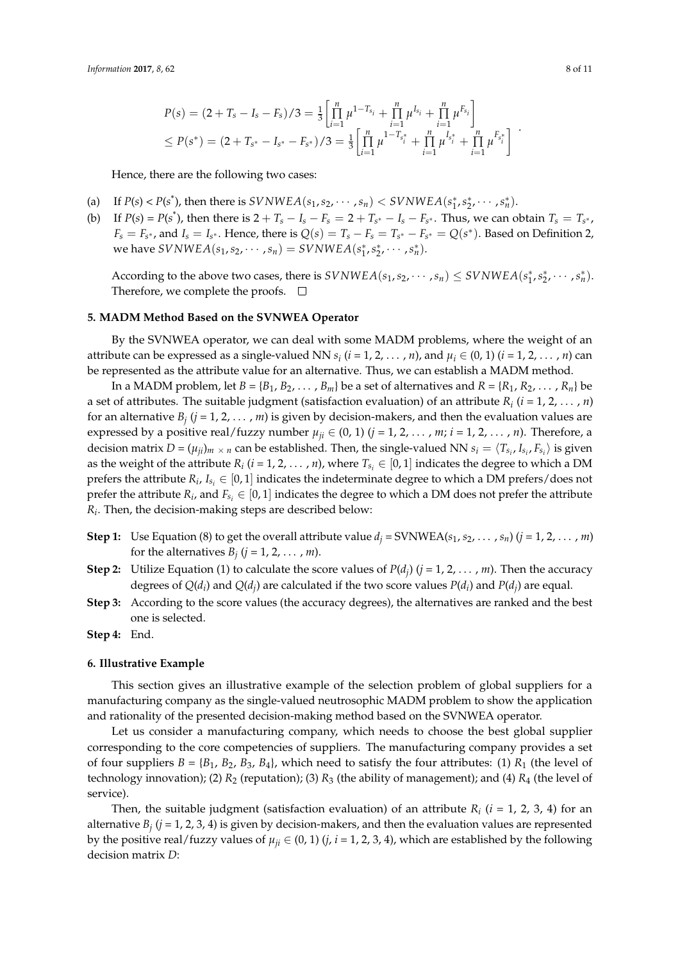$$
P(s) = (2 + T_s - I_s - F_s)/3 = \frac{1}{3} \left[ \prod_{i=1}^{n} \mu^{1-T_{s_i}} + \prod_{i=1}^{n} \mu^{I_{s_i}} + \prod_{i=1}^{n} \mu^{F_{s_i}} \right] \leq P(s^*) = (2 + T_{s^*} - I_{s^*} - F_{s^*})/3 = \frac{1}{3} \left[ \prod_{i=1}^{n} \mu^{1-T_{s_i^*}} + \prod_{i=1}^{n} \mu^{I_{s_i^*}} + \prod_{i=1}^{n} \mu^{F_{s_i^*}} \right] .
$$

Hence, there are the following two cases:

- (a) If  $P(s) < P(s^*)$ , then there is  $SVMWEA(s_1, s_2, \dots, s_n) < SWNWEA(s_1^*, s_2^*, \dots, s_n^*)$ .
- (b) If  $P(s) = P(s^*)$ , then there is  $2 + T_s I_s F_s = 2 + T_{s^*} I_s F_{s^*}$ . Thus, we can obtain  $T_s = T_{s^*}$ ,  $F_s = F_{s^*}$ , and  $I_s = I_{s^*}$ . Hence, there is  $Q(s) = T_s - F_s = T_{s^*} - F_{s^*} = Q(s^*)$ . Based on Definition 2, we have  $SVNWEA(s_1, s_2, \dots, s_n) = SVNWEA(s_1^*, s_2^*, \dots, s_n^*)$ .

According to the above two cases, there is  $SVNWEA(s_1, s_2, \dots, s_n) \leq SVNWEA(s_1^*, s_2^*, \dots, s_n^*)$ . Therefore, we complete the proofs.  $\Box$ 

## <span id="page-7-0"></span>**5. MADM Method Based on the SVNWEA Operator**

By the SVNWEA operator, we can deal with some MADM problems, where the weight of an attribute can be expressed as a single-valued NN  $s_i$  ( $i = 1, 2, ..., n$ ), and  $\mu_i \in (0, 1)$  ( $i = 1, 2, ..., n$ ) can be represented as the attribute value for an alternative. Thus, we can establish a MADM method.

In a MADM problem, let  $B = \{B_1, B_2, \ldots, B_m\}$  be a set of alternatives and  $R = \{R_1, R_2, \ldots, R_n\}$  be a set of attributes. The suitable judgment (satisfaction evaluation) of an attribute *R<sup>i</sup>* (*i* = 1, 2, . . . , *n*) for an alternative  $B_j$  ( $j = 1, 2, ..., m$ ) is given by decision-makers, and then the evaluation values are expressed by a positive real/fuzzy number  $\mu_{ji} \in (0, 1)$  ( $j = 1, 2, ..., m$ ;  $i = 1, 2, ..., n$ ). Therefore, a decision matrix  $D = (\mu_{ji})_m \times n$  can be established. Then, the single-valued NN  $s_i = \langle T_{s_i}, I_{s_i}, F_{s_i} \rangle$  is given as the weight of the attribute  $R_i$  ( $i = 1, 2, ..., n$ ), where  $T_{s_i} \in [0, 1]$  indicates the degree to which a DM prefers the attribute  $R_i$ ,  $I_{s_i} \in [0,1]$  indicates the indeterminate degree to which a DM prefers/does not prefer the attribute  $R_i$ , and  $F_{s_i} \in [0,1]$  indicates the degree to which a DM does not prefer the attribute *Ri* . Then, the decision-making steps are described below:

- **Step 1:** Use Equation (8) to get the overall attribute value  $d_i = \text{SUNWEA}(s_1, s_2, \dots, s_n)$  ( $j = 1, 2, \dots, m$ ) for the alternatives  $B_j$  ( $j = 1, 2, \ldots, m$ ).
- **Step 2:** Utilize Equation (1) to calculate the score values of  $P(d_j)$  ( $j = 1, 2, ..., m$ ). Then the accuracy degrees of  $Q(d_i)$  and  $Q(d_j)$  are calculated if the two score values  $P(d_i)$  and  $P(d_j)$  are equal.
- **Step 3:** According to the score values (the accuracy degrees), the alternatives are ranked and the best one is selected.

### **Step 4:** End.

#### <span id="page-7-1"></span>**6. Illustrative Example**

This section gives an illustrative example of the selection problem of global suppliers for a manufacturing company as the single-valued neutrosophic MADM problem to show the application and rationality of the presented decision-making method based on the SVNWEA operator.

Let us consider a manufacturing company, which needs to choose the best global supplier corresponding to the core competencies of suppliers. The manufacturing company provides a set of four suppliers  $B = \{B_1, B_2, B_3, B_4\}$ , which need to satisfy the four attributes: (1)  $R_1$  (the level of technology innovation); (2)  $R_2$  (reputation); (3)  $R_3$  (the ability of management); and (4)  $R_4$  (the level of service).

Then, the suitable judgment (satisfaction evaluation) of an attribute  $R_i$  ( $i = 1, 2, 3, 4$ ) for an alternative *B<sup>j</sup>* (*j* = 1, 2, 3, 4) is given by decision-makers, and then the evaluation values are represented by the positive real/fuzzy values of  $\mu_{ji} \in (0, 1)$  (*j*, *i* = 1, 2, 3, 4), which are established by the following decision matrix *D*: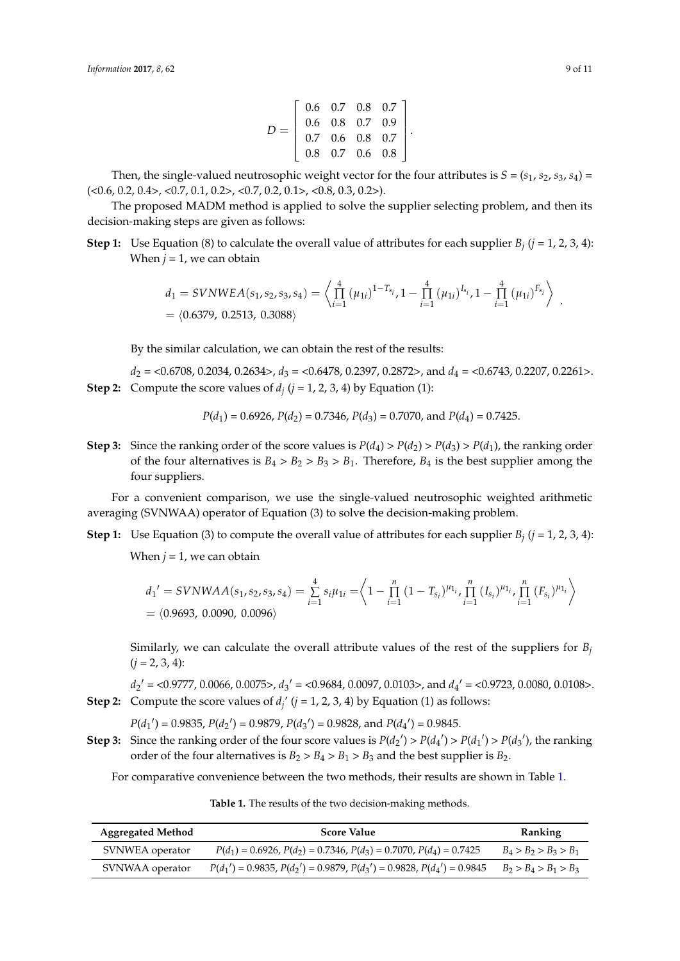$$
D = \left[ \begin{array}{rrr} 0.6 & 0.7 & 0.8 & 0.7 \\ 0.6 & 0.8 & 0.7 & 0.9 \\ 0.7 & 0.6 & 0.8 & 0.7 \\ 0.8 & 0.7 & 0.6 & 0.8 \end{array} \right].
$$

Then, the single-valued neutrosophic weight vector for the four attributes is  $S = (s_1, s_2, s_3, s_4)$  $(<0.6, 0.2, 0.4$ ,  $<0.7, 0.1, 0.2$ ,  $<0.7, 0.2, 0.1$ ,  $<0.8, 0.3, 0.2$ ).

The proposed MADM method is applied to solve the supplier selecting problem, and then its decision-making steps are given as follows:

**Step 1:** Use Equation (8) to calculate the overall value of attributes for each supplier  $B_j$  ( $j = 1, 2, 3, 4$ ): When  $j = 1$ , we can obtain

$$
d_1 = SVNWEA(s_1, s_2, s_3, s_4) = \left\langle \prod_{i=1}^4 (\mu_{1i})^{1-T_{s_i}}, 1 - \prod_{i=1}^4 (\mu_{1i})^{I_{s_i}}, 1 - \prod_{i=1}^4 (\mu_{1i})^{F_{s_i}} \right\rangle.
$$
  
=  $\langle 0.6379, 0.2513, 0.3088 \rangle$ 

By the similar calculation, we can obtain the rest of the results:

*d*<sub>2</sub> = <0.6708, 0.2034, 0.2634>, *d*<sub>3</sub> = <0.6478, 0.2397, 0.2872>, and *d*<sub>4</sub> = <0.6743, 0.2207, 0.2261>. **Step 2:** Compute the score values of  $d_j$  ( $j = 1, 2, 3, 4$ ) by Equation (1):

$$
P(d_1) = 0.6926
$$
,  $P(d_2) = 0.7346$ ,  $P(d_3) = 0.7070$ , and  $P(d_4) = 0.7425$ .

**Step 3:** Since the ranking order of the score values is  $P(d_4) > P(d_2) > P(d_3) > P(d_1)$ , the ranking order of the four alternatives is  $B_4 > B_2 > B_3 > B_1$ . Therefore,  $B_4$  is the best supplier among the four suppliers.

For a convenient comparison, we use the single-valued neutrosophic weighted arithmetic averaging (SVNWAA) operator of Equation (3) to solve the decision-making problem.

**Step 1:** Use Equation (3) to compute the overall value of attributes for each supplier  $B_j$  ( $j = 1, 2, 3, 4$ ):

When  $j = 1$ , we can obtain

$$
d_1' = SVMWA(s_1, s_2, s_3, s_4) = \sum_{i=1}^4 s_i \mu_{1i} = \left\langle 1 - \prod_{i=1}^n (1 - T_{s_i})^{\mu_{1i}}, \prod_{i=1}^n (I_{s_i})^{\mu_{1i}}, \prod_{i=1}^n (F_{s_i})^{\mu_{1i}} \right\rangle
$$
  
=  $\langle 0.9693, 0.0090, 0.0096 \rangle$ 

Similarly, we can calculate the overall attribute values of the rest of the suppliers for *B<sup>j</sup>*  $(j = 2, 3, 4)$ :

 $d_2' = \langle 0.9777, 0.0066, 0.0075 \rangle$ ,  $d_3' = \langle 0.9684, 0.0097, 0.0103 \rangle$ , and  $d_4' = \langle 0.9723, 0.0080, 0.0108 \rangle$ . **Step 2:** Compute the score values of  $d_j$ <sup>'</sup> ( $j = 1, 2, 3, 4$ ) by Equation (1) as follows:

 $P(d_1') = 0.9835, P(d_2') = 0.9879, P(d_3') = 0.9828, \text{ and } P(d_4') = 0.9845.$ 

**Step 3:** Since the ranking order of the four score values is  $P(d_2') > P(d_4') > P(d_1') > P(d_3')$ , the ranking order of the four alternatives is  $B_2 > B_4 > B_1 > B_3$  and the best supplier is  $B_2$ .

<span id="page-8-0"></span>For comparative convenience between the two methods, their results are shown in Table [1.](#page-8-0)

**Table 1.** The results of the two decision-making methods.

| <b>Aggregated Method</b> | <b>Score Value</b>                                                       | <b>Ranking</b>          |
|--------------------------|--------------------------------------------------------------------------|-------------------------|
| SVNWEA operator          | $P(d_1) = 0.6926, P(d_2) = 0.7346, P(d_3) = 0.7070, P(d_4) = 0.7425$     | $B_4 > B_2 > B_3 > B_1$ |
| SVNWAA operator          | $P(d_1') = 0.9835, P(d_2') = 0.9879, P(d_3') = 0.9828, P(d_4') = 0.9845$ | $B_2 > B_4 > B_1 > B_3$ |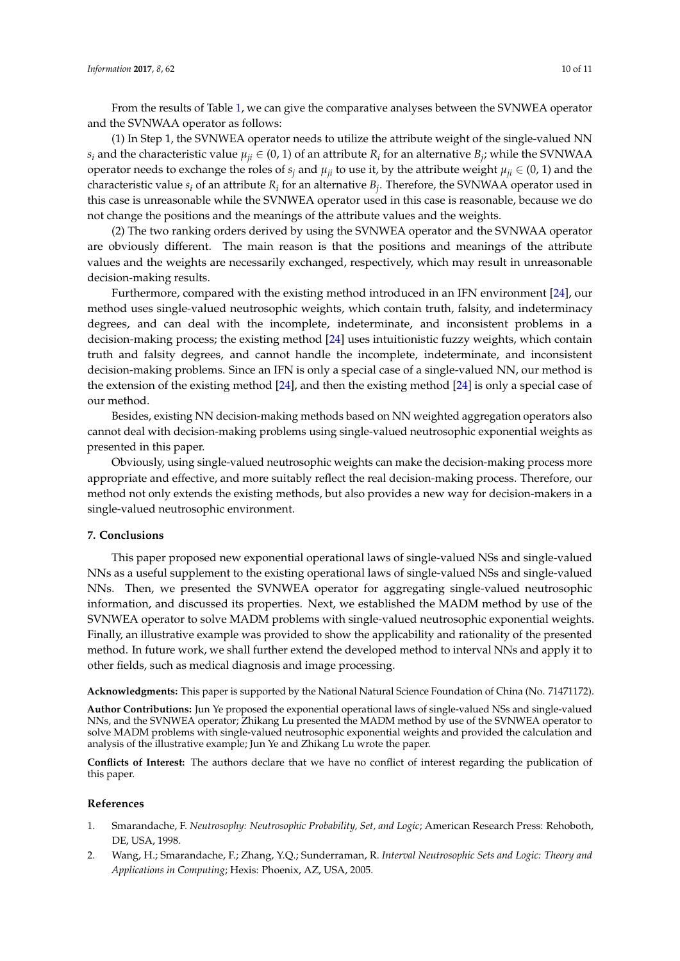From the results of Table [1,](#page-8-0) we can give the comparative analyses between the SVNWEA operator and the SVNWAA operator as follows:

(1) In Step 1, the SVNWEA operator needs to utilize the attribute weight of the single-valued NN  $s_i$  and the characteristic value  $\mu_{ji} \in (0, 1)$  of an attribute  $R_i$  for an alternative  $B_j$ ; while the SVNWAA operator needs to exchange the roles of  $s_j$  and  $\mu_{ij}$  to use it, by the attribute weight  $\mu_{ij} \in (0, 1)$  and the characteristic value *s<sup>i</sup>* of an attribute *R<sup>i</sup>* for an alternative *B<sup>j</sup>* . Therefore, the SVNWAA operator used in this case is unreasonable while the SVNWEA operator used in this case is reasonable, because we do not change the positions and the meanings of the attribute values and the weights.

(2) The two ranking orders derived by using the SVNWEA operator and the SVNWAA operator are obviously different. The main reason is that the positions and meanings of the attribute values and the weights are necessarily exchanged, respectively, which may result in unreasonable decision-making results.

Furthermore, compared with the existing method introduced in an IFN environment [\[24\]](#page-10-14), our method uses single-valued neutrosophic weights, which contain truth, falsity, and indeterminacy degrees, and can deal with the incomplete, indeterminate, and inconsistent problems in a decision-making process; the existing method [\[24\]](#page-10-14) uses intuitionistic fuzzy weights, which contain truth and falsity degrees, and cannot handle the incomplete, indeterminate, and inconsistent decision-making problems. Since an IFN is only a special case of a single-valued NN, our method is the extension of the existing method [\[24\]](#page-10-14), and then the existing method [\[24\]](#page-10-14) is only a special case of our method.

Besides, existing NN decision-making methods based on NN weighted aggregation operators also cannot deal with decision-making problems using single-valued neutrosophic exponential weights as presented in this paper.

Obviously, using single-valued neutrosophic weights can make the decision-making process more appropriate and effective, and more suitably reflect the real decision-making process. Therefore, our method not only extends the existing methods, but also provides a new way for decision-makers in a single-valued neutrosophic environment.

## <span id="page-9-2"></span>**7. Conclusions**

This paper proposed new exponential operational laws of single-valued NSs and single-valued NNs as a useful supplement to the existing operational laws of single-valued NSs and single-valued NNs. Then, we presented the SVNWEA operator for aggregating single-valued neutrosophic information, and discussed its properties. Next, we established the MADM method by use of the SVNWEA operator to solve MADM problems with single-valued neutrosophic exponential weights. Finally, an illustrative example was provided to show the applicability and rationality of the presented method. In future work, we shall further extend the developed method to interval NNs and apply it to other fields, such as medical diagnosis and image processing.

**Acknowledgments:** This paper is supported by the National Natural Science Foundation of China (No. 71471172).

**Author Contributions:** Jun Ye proposed the exponential operational laws of single-valued NSs and single-valued NNs, and the SVNWEA operator; Zhikang Lu presented the MADM method by use of the SVNWEA operator to solve MADM problems with single-valued neutrosophic exponential weights and provided the calculation and analysis of the illustrative example; Jun Ye and Zhikang Lu wrote the paper.

**Conflicts of Interest:** The authors declare that we have no conflict of interest regarding the publication of this paper.

#### **References**

- <span id="page-9-0"></span>1. Smarandache, F. *Neutrosophy: Neutrosophic Probability, Set, and Logic*; American Research Press: Rehoboth, DE, USA, 1998.
- <span id="page-9-1"></span>2. Wang, H.; Smarandache, F.; Zhang, Y.Q.; Sunderraman, R. *Interval Neutrosophic Sets and Logic: Theory and Applications in Computing*; Hexis: Phoenix, AZ, USA, 2005.